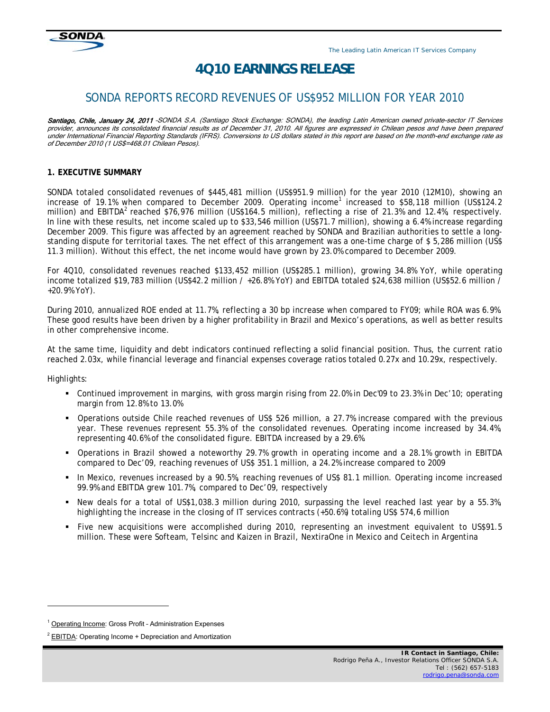

# *4Q10 EARNINGS RELEASE*

## SONDA REPORTS RECORD REVENUES OF US\$952 MILLION FOR YEAR 2010

Santiago, Chile, January 24, 2011 -SONDA S.A. (Santiago Stock Exchange: SONDA), the leading Latin American owned private-sector IT Services provider, announces its consolidated financial results as of December 31, 2010. All figures are expressed in Chilean pesos and have been prepared under International Financial Reporting Standards (IFRS). Conversions to US dollars stated in this report are based on the month-end exchange rate as of December 2010 (1 US\$=468.01 Chilean Pesos).

#### **1. EXECUTIVE SUMMARY**

SONDA totaled consolidated revenues of \$445,481 million (US\$951.9 million) for the year 2010 (12M10), showing an increase of 19.1% when compared to December 2009. Operating income<sup>1</sup> increased to \$58,118 million (US\$124.2 million) and EBITDA<sup>2</sup> reached \$76,976 million (US\$164.5 million), reflecting a rise of 21.3% and 12.4%, respectively. In line with these results, net income scaled up to \$33,546 million (US\$71.7 million), showing a 6.4% increase regarding December 2009. This figure was affected by an agreement reached by SONDA and Brazilian authorities to settle a longstanding dispute for territorial taxes. The net effect of this arrangement was a one-time charge of \$ 5,286 million (US\$ 11.3 million). Without this effect, the net income would have grown by 23.0% compared to December 2009.

For 4Q10, consolidated revenues reached \$133,452 million (US\$285.1 million), growing 34.8% YoY, while operating income totalized \$19,783 million (US\$42.2 million / +26.8% YoY) and EBITDA totaled \$24,638 million (US\$52.6 million / +20.9% YoY).

During 2010, annualized ROE ended at 11.7%, reflecting a 30 bp increase when compared to FY09; while ROA was 6.9%. These good results have been driven by a higher profitability in Brazil and Mexico's operations, as well as better results in other comprehensive income.

At the same time, liquidity and debt indicators continued reflecting a solid financial position. Thus, the current ratio reached 2.03x, while financial leverage and financial expenses coverage ratios totaled 0.27x and 10.29x, respectively.

Highlights:

j

- Continued improvement in margins, with gross margin rising from 22.0% in Dec'09 to 23.3% in Dec'10; operating margin from 12.8% to 13.0%
- Operations outside Chile reached revenues of US\$ 526 million, a 27.7% increase compared with the previous year. These revenues represent 55.3% of the consolidated revenues. Operating income increased by 34.4%, representing 40.6% of the consolidated figure. EBITDA increased by a 29.6%.
- Operations in Brazil showed a noteworthy 29.7% growth in operating income and a 28.1% growth in EBITDA compared to Dec'09, reaching revenues of US\$ 351.1 million, a 24.2% increase compared to 2009
- In Mexico, revenues increased by a 90.5%, reaching revenues of US\$ 81.1 million. Operating income increased 99.9% and EBITDA grew 101.7%, compared to Dec'09, respectively
- New deals for a total of US\$1,038.3 million during 2010, surpassing the level reached last year by a 55.3%, highlighting the increase in the closing of IT services contracts (+50.6%) totaling US\$ 574,6 million
- Five new acquisitions were accomplished during 2010, representing an investment equivalent to US\$91.5 million. These were Softeam, Telsinc and Kaizen in Brazil, NextiraOne in Mexico and Ceitech in Argentina

<sup>&</sup>lt;sup>1</sup> Operating Income: Gross Profit - Administration Expenses

<sup>&</sup>lt;sup>2</sup> EBITDA: Operating Income + Depreciation and Amortization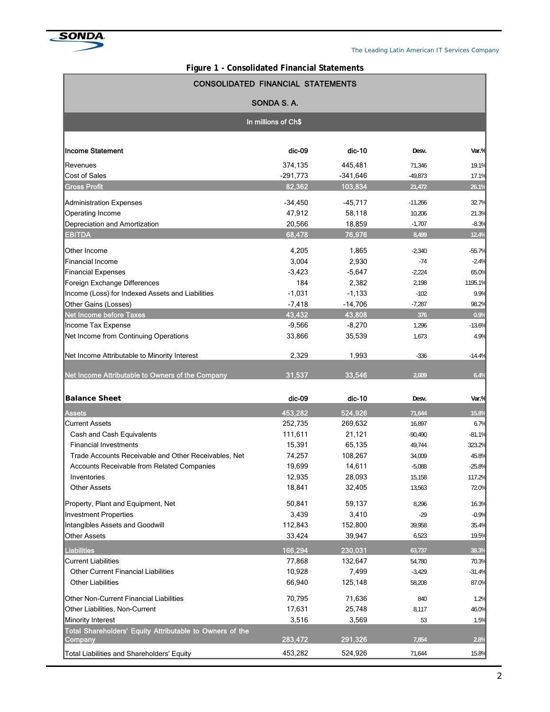

| Figure 1 - Consolidated Financial Statements |  |
|----------------------------------------------|--|
|----------------------------------------------|--|

| <b>CONSOLIDATED FINANCIAL STATEMENTS</b>                                         |                   |                    |                    |                 |  |  |  |  |  |  |  |
|----------------------------------------------------------------------------------|-------------------|--------------------|--------------------|-----------------|--|--|--|--|--|--|--|
|                                                                                  | SONDA S.A.        |                    |                    |                 |  |  |  |  |  |  |  |
| In millions of Ch\$                                                              |                   |                    |                    |                 |  |  |  |  |  |  |  |
| <b>Income Statement</b>                                                          | dic-09            | $dic-10$           | Desv.              | $Var.$ %        |  |  |  |  |  |  |  |
| Revenues                                                                         | 374,135           | 445,481            | 71,346             | 19.1%           |  |  |  |  |  |  |  |
| Cost of Sales                                                                    | $-291.773$        | $-341,646$         | $-49,873$          | 17.1%           |  |  |  |  |  |  |  |
| <b>Gross Profit</b>                                                              | 82,362            | 103,834            | 21,472             | 26.1%           |  |  |  |  |  |  |  |
| Administration Expenses                                                          | $-34,450$         | $-45,717$          | $-11,266$          | 32.7%           |  |  |  |  |  |  |  |
| Operating Income                                                                 | 47,912            | 58,118             | 10,206             | 21.3%           |  |  |  |  |  |  |  |
| Depreciation and Amortization                                                    | 20,566            | 18,859             | $-1,707$           | $-8.3%$         |  |  |  |  |  |  |  |
| <b>EBITDA</b>                                                                    | 68,478            | 76,976             | 8,499              | 12.4%           |  |  |  |  |  |  |  |
|                                                                                  |                   |                    |                    |                 |  |  |  |  |  |  |  |
| Other Income                                                                     | 4,205             | 1,865              | $-2,340$           | $-55.7%$        |  |  |  |  |  |  |  |
| Financial Income                                                                 | 3,004             | 2,930              | $-74$              | $-2.4%$         |  |  |  |  |  |  |  |
| Financial Expenses                                                               | $-3,423$<br>184   | $-5,647$           | $-2,224$           | 65.0%           |  |  |  |  |  |  |  |
| Foreign Exchange Differences<br>Income (Loss) for Indexed Assets and Liabilities | $-1,031$          | 2,382<br>$-1,133$  | 2,198              | 1195.1%<br>9.9% |  |  |  |  |  |  |  |
| Other Gains (Losses)                                                             | $-7,418$          | $-14,706$          | $-102$<br>$-7,287$ | 98.2%           |  |  |  |  |  |  |  |
| Net Income before Taxes                                                          | 43,432            | 43,808             | 376                | 0.9%            |  |  |  |  |  |  |  |
| Income Tax Expense                                                               | $-9,566$          | $-8,270$           | 1,296              | $-13.6%$        |  |  |  |  |  |  |  |
| Net Income from Continuing Operations                                            | 33,866            | 35,539             | 1,673              | 4.9%            |  |  |  |  |  |  |  |
|                                                                                  |                   |                    |                    |                 |  |  |  |  |  |  |  |
| Net Income Attributable to Minority Interest                                     | 2,329             | 1,993              | $-336$             | $-14.4%$        |  |  |  |  |  |  |  |
| Net Income Attributable to Owners of the Company                                 | 31,537            | 33,546             | 2,009              | 6.4%            |  |  |  |  |  |  |  |
| <b>Balance Sheet</b>                                                             | dic-09            | $dic-10$           | Desv.              | Var.%           |  |  |  |  |  |  |  |
| <b>Assets</b>                                                                    | 453,282           | 524,926            | 71,644             | 15.8%           |  |  |  |  |  |  |  |
| <b>Current Assets</b>                                                            | 252.735           | 269,632            | 16,897             | 6.7%            |  |  |  |  |  |  |  |
| Cash and Cash Equivalents                                                        | 111,611           | 21,121             | $-90,490$          | $-81.1%$        |  |  |  |  |  |  |  |
| <b>Financial Investments</b>                                                     | 15,391            | 65,135             | 49,744             | 323.2%          |  |  |  |  |  |  |  |
| Trade Accounts Receivable and Other Receivables, Net                             | 74,257            | 108,267            | 34,009             | 45.8%           |  |  |  |  |  |  |  |
| <b>Accounts Receivable from Related Companies</b>                                | 19,699            | 14,611             | $-5,088$           | $-25.8%$        |  |  |  |  |  |  |  |
| Inventories                                                                      | 12,935            | 28,093             | 15,158             | 117.2%          |  |  |  |  |  |  |  |
| <b>Other Assets</b>                                                              | 18,841            | 32,405             | 13,563             | 72.0%           |  |  |  |  |  |  |  |
| Property, Plant and Equipment, Net                                               | 50,841            | 59,137             | 8,296              | 16.3%           |  |  |  |  |  |  |  |
| <b>Investment Properties</b>                                                     | 3,439             | 3,410              | $-29$              | $-0.9%$         |  |  |  |  |  |  |  |
| Intangibles Assets and Goodwill                                                  | 112,843           | 152,800            | 39,958             | 35.4%           |  |  |  |  |  |  |  |
| <b>Other Assets</b>                                                              | 33,424            | 39,947             | 6,523              | 19.5%           |  |  |  |  |  |  |  |
|                                                                                  |                   |                    |                    |                 |  |  |  |  |  |  |  |
| <b>Liabilities</b><br><b>Current Liabilities</b>                                 | 166,294<br>77,868 | 230,031<br>132,647 | 63,737             | 38.3%<br>70.3%  |  |  |  |  |  |  |  |
| <b>Other Current Financial Liabilities</b>                                       | 10,928            | 7,499              | 54,780<br>$-3,429$ | $-31.4%$        |  |  |  |  |  |  |  |
| <b>Other Liabilities</b>                                                         | 66,940            | 125,148            | 58,208             | 87.0%           |  |  |  |  |  |  |  |
|                                                                                  |                   |                    |                    |                 |  |  |  |  |  |  |  |
| Other Non-Current Financial Liabilities                                          | 70,795            | 71,636             | 840                | 1.2%            |  |  |  |  |  |  |  |
| Other Liabilities, Non-Current                                                   | 17,631            | 25,748             | 8,117              | 46.0%           |  |  |  |  |  |  |  |
| Minority Interest                                                                | 3,516             | 3,569              | 53                 | 1.5%            |  |  |  |  |  |  |  |
| Total Shareholders' Equity Attributable to Owners of the                         | 283,472           | 291,326            | 7,854              |                 |  |  |  |  |  |  |  |
| Company                                                                          |                   |                    |                    | 2.8%            |  |  |  |  |  |  |  |
| Total Liabilities and Shareholders' Equity                                       | 453,282           | 524,926            | 71,644             | 15.8%           |  |  |  |  |  |  |  |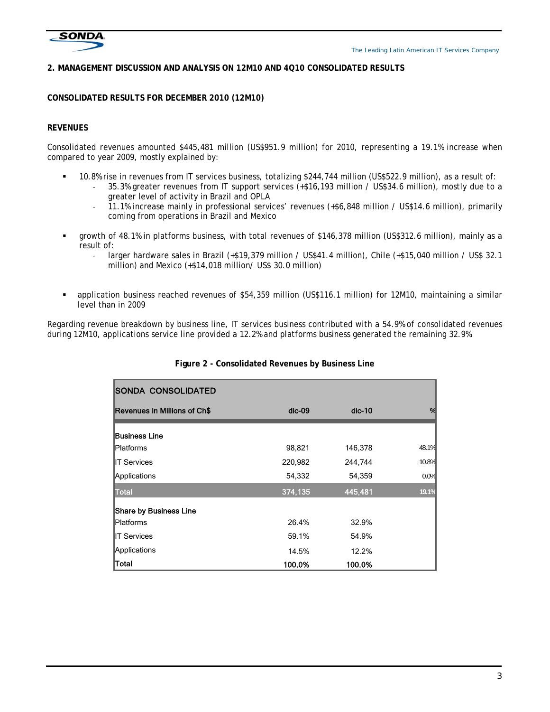

#### **2. MANAGEMENT DISCUSSION AND ANALYSIS ON 12M10 AND 4Q10 CONSOLIDATED RESULTS**

#### **CONSOLIDATED RESULTS FOR DECEMBER 2010 (12M10)**

#### **REVENUES**

Consolidated revenues amounted \$445,481 million (US\$951.9 million) for 2010, representing a 19.1% increase when compared to year 2009, mostly explained by:

- 10.8% rise in revenues from IT services business, totalizing \$244,744 million (US\$522.9 million), as a result of:
	- ‐ 35.3% greater revenues from IT support services (+\$16,193 million / US\$34.6 million), mostly due to a greater level of activity in Brazil and OPLA
		- ‐ 11.1% increase mainly in professional services' revenues (+\$6,848 million / US\$14.6 million), primarily coming from operations in Brazil and Mexico
- growth of 48.1% in platforms business, with total revenues of \$146,378 million (US\$312.6 million), mainly as a result of:
	- larger hardware sales in Brazil (+\$19,379 million / US\$41.4 million), Chile (+\$15,040 million / US\$ 32.1 million) and Mexico (+\$14,018 million/ US\$ 30.0 million)
- application business reached revenues of \$54,359 million (US\$116.1 million) for 12M10, maintaining a similar level than in 2009

Regarding revenue breakdown by business line, IT services business contributed with a 54.9% of consolidated revenues during 12M10, applications service line provided a 12.2% and platforms business generated the remaining 32.9%.

| <b>ISONDA CONSOLIDATED</b>    |          |          |       |
|-------------------------------|----------|----------|-------|
| Revenues in Millions of Ch\$  | $dic-09$ | $dic-10$ | %     |
| <b>Business Line</b>          |          |          |       |
| <b>Platforms</b>              | 98,821   | 146,378  | 48.1% |
| <b>IIT Services</b>           | 220,982  | 244,744  | 10.8% |
| Applications                  | 54,332   | 54,359   | 0.0%  |
| <b>Total</b>                  | 374,135  | 445,481  | 19.1% |
| <b>Share by Business Line</b> |          |          |       |
| <b>Platforms</b>              | 26.4%    | 32.9%    |       |
| <b>IIT Services</b>           | 59.1%    | 54.9%    |       |
| <b>Applications</b>           | 14.5%    | 12.2%    |       |
| Total                         | 100.0%   | 100.0%   |       |

## **Figure 2 - Consolidated Revenues by Business Line**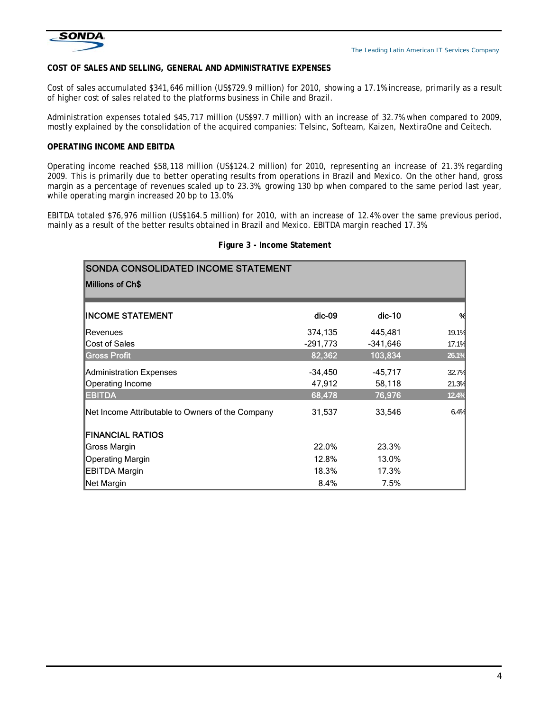

#### **COST OF SALES AND SELLING, GENERAL AND ADMINISTRATIVE EXPENSES**

Cost of sales accumulated \$341,646 million (US\$729.9 million) for 2010, showing a 17.1% increase, primarily as a result of higher cost of sales related to the platforms business in Chile and Brazil.

Administration expenses totaled \$45,717 million (US\$97.7 million) with an increase of 32.7% when compared to 2009, mostly explained by the consolidation of the acquired companies: Telsinc, Softeam, Kaizen, NextiraOne and Ceitech.

#### **OPERATING INCOME AND EBITDA**

Operating income reached \$58,118 million (US\$124.2 million) for 2010, representing an increase of 21.3% regarding 2009. This is primarily due to better operating results from operations in Brazil and Mexico. On the other hand, gross margin as a percentage of revenues scaled up to 23.3%, growing 130 bp when compared to the same period last year, while operating margin increased 20 bp to 13.0%.

EBITDA totaled \$76,976 million (US\$164.5 million) for 2010, with an increase of 12.4% over the same previous period, mainly as a result of the better results obtained in Brazil and Mexico. EBITDA margin reached 17.3%.

| SONDA CONSOLIDATED INCOME STATEMENT              |            |            |       |
|--------------------------------------------------|------------|------------|-------|
| Millions of Ch\$                                 |            |            |       |
| <b>INCOME STATEMENT</b>                          | $dic-09$   | $dic-10$   | %     |
| Revenues                                         | 374,135    | 445,481    | 19.1% |
| Cost of Sales                                    | $-291,773$ | $-341,646$ | 17.1% |
| <b>Gross Profit</b>                              | 82,362     | 103,834    | 26.1% |
| Administration Expenses                          | $-34,450$  | $-45,717$  | 32.7% |
| Operating Income                                 | 47,912     | 58,118     | 21.3% |
| <b>EBITDA</b>                                    | 68,478     | 76,976     | 12.4% |
| Net Income Attributable to Owners of the Company | 31,537     | 33,546     | 6.4%  |
| <b>FINANCIAL RATIOS</b>                          |            |            |       |
| Gross Margin                                     | 22.0%      | 23.3%      |       |
| Operating Margin                                 | 12.8%      | 13.0%      |       |
| <b>EBITDA Margin</b>                             | 18.3%      | 17.3%      |       |
| Net Margin                                       | 8.4%       | 7.5%       |       |

#### **Figure 3 - Income Statement**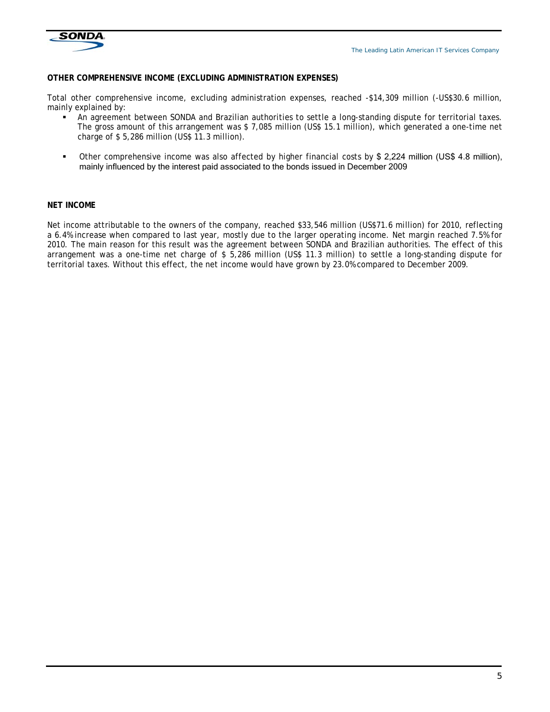

#### **OTHER COMPREHENSIVE INCOME (EXCLUDING ADMINISTRATION EXPENSES)**

Total other comprehensive income, excluding administration expenses, reached -\$14,309 million (-US\$30.6 million, mainly explained by:

- An agreement between SONDA and Brazilian authorities to settle a long-standing dispute for territorial taxes. The gross amount of this arrangement was \$ 7,085 million (US\$ 15.1 million), which generated a one-time net charge of \$ 5,286 million (US\$ 11.3 million).
- Other comprehensive income was also affected by higher financial costs by \$ 2,224 million (US\$ 4.8 million), mainly influenced by the interest paid associated to the bonds issued in December 2009

#### **NET INCOME**

Net income attributable to the owners of the company, reached \$33,546 million (US\$71.6 million) for 2010, reflecting a 6.4% increase when compared to last year, mostly due to the larger operating income. Net margin reached 7.5% for 2010. The main reason for this result was the agreement between SONDA and Brazilian authorities. The effect of this arrangement was a one-time net charge of \$ 5,286 million (US\$ 11.3 million) to settle a long-standing dispute for territorial taxes. Without this effect, the net income would have grown by 23.0% compared to December 2009.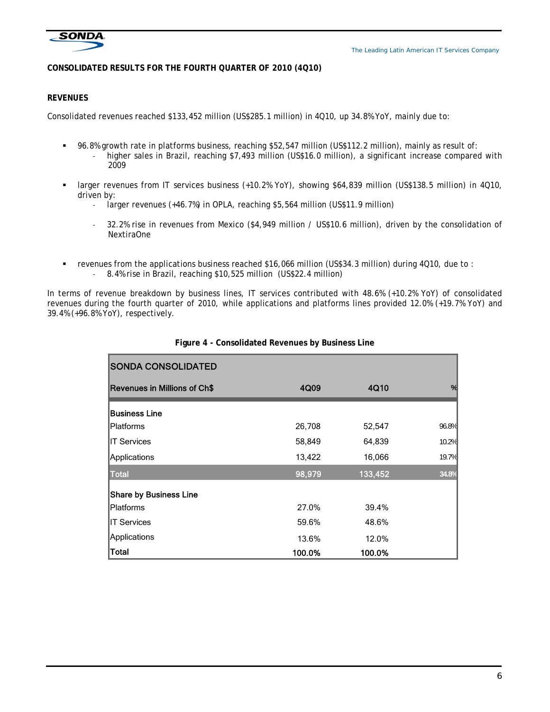

## **CONSOLIDATED RESULTS FOR THE FOURTH QUARTER OF 2010 (4Q10)**

## **REVENUES**

Consolidated revenues reached \$133,452 million (US\$285.1 million) in 4Q10, up 34.8% YoY, mainly due to:

- 96.8% growth rate in platforms business, reaching \$52,547 million (US\$112.2 million), mainly as result of: higher sales in Brazil, reaching \$7,493 million (US\$16.0 million), a significant increase compared with 2009
- larger revenues from IT services business (+10.2% YoY), showing \$64,839 million (US\$138.5 million) in 4Q10, driven by:
	- ‐ larger revenues (+46.7%) in OPLA, reaching \$5,564 million (US\$11.9 million)
	- ‐ 32.2% rise in revenues from Mexico (\$4,949 million / US\$10.6 million), driven by the consolidation of NextiraOne
- revenues from the applications business reached \$16,066 million (US\$34.3 million) during 4Q10, due to : ‐ 8.4% rise in Brazil, reaching \$10,525 million (US\$22.4 million)

In terms of revenue breakdown by business lines, IT services contributed with 48.6% (+10.2% YoY) of consolidated revenues during the fourth quarter of 2010, while applications and platforms lines provided 12.0% (+19.7% YoY) and 39.4% (+96.8% YoY), respectively.

| <b>SONDA CONSOLIDATED</b>           |        |         |       |
|-------------------------------------|--------|---------|-------|
| <b>Revenues in Millions of Ch\$</b> | 4Q09   | 4Q10    | %     |
| <b>Business Line</b>                |        |         |       |
| <b>IPlatforms</b>                   | 26,708 | 52,547  | 96.8% |
| IIT Services                        | 58,849 | 64,839  | 10.2% |
| Applications                        | 13,422 | 16,066  | 19.7% |
| <b>Total</b>                        | 98,979 | 133,452 | 34.8% |
| <b>Share by Business Line</b>       |        |         |       |
| <b>IPlatforms</b>                   | 27.0%  | 39.4%   |       |
| IIT Services                        | 59.6%  | 48.6%   |       |
| Applications                        | 13.6%  | 12.0%   |       |
| Total                               | 100.0% | 100.0%  |       |

## **Figure 4 - Consolidated Revenues by Business Line**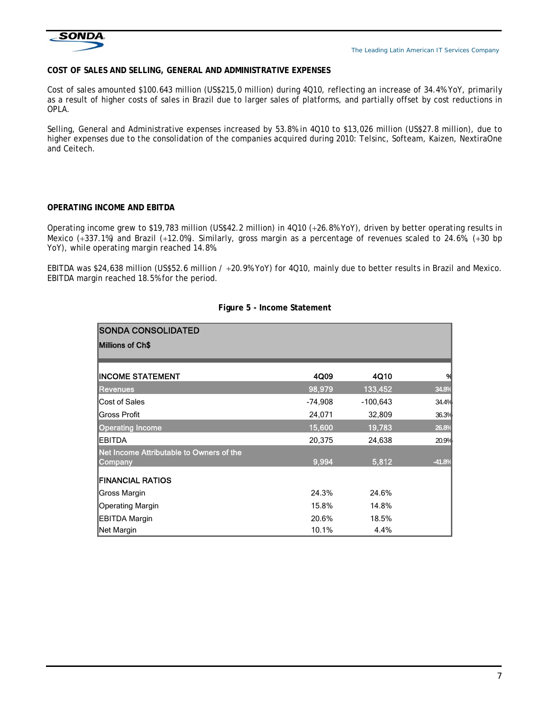

## **COST OF SALES AND SELLING, GENERAL AND ADMINISTRATIVE EXPENSES**

Cost of sales amounted \$100.643 million (US\$215,0 million) during 4Q10, reflecting an increase of 34.4% YoY, primarily as a result of higher costs of sales in Brazil due to larger sales of platforms, and partially offset by cost reductions in OPLA.

Selling, General and Administrative expenses increased by 53.8% in 4Q10 to \$13,026 million (US\$27.8 million), due to higher expenses due to the consolidation of the companies acquired during 2010: Telsinc, Softeam, Kaizen, NextiraOne and Ceitech.

## **OPERATING INCOME AND EBITDA**

Operating income grew to \$19,783 million (US\$42.2 million) in 4Q10 (+26.8% YoY), driven by better operating results in Mexico (+337.1%) and Brazil (+12.0%). Similarly, gross margin as a percentage of revenues scaled to 24.6%, (+30 bp YoY), while operating margin reached 14.8%.

EBITDA was \$24,638 million (US\$52.6 million /  $+20.9%$  YoY) for 4Q10, mainly due to better results in Brazil and Mexico. EBITDA margin reached 18.5% for the period.

| <b>SONDA CONSOLIDATED</b>                           |           |            |          |
|-----------------------------------------------------|-----------|------------|----------|
| <b>Millions of Ch\$</b>                             |           |            |          |
|                                                     |           |            |          |
| <b>INCOME STATEMENT</b>                             | 4Q09      | 4Q10       | %        |
| <b>Revenues</b>                                     | 98,979    | 133,452    | 34.8%    |
| Cost of Sales                                       | $-74,908$ | $-100,643$ | 34.4%    |
| <b>Gross Profit</b>                                 | 24,071    | 32,809     | 36.3%    |
| <b>Operating Income</b>                             | 15,600    | 19,783     | 26.8%    |
| <b>EBITDA</b>                                       | 20,375    | 24,638     | 20.9%    |
| Net Income Attributable to Owners of the<br>Company | 9,994     | 5,812      | $-41.8%$ |
| <b>FINANCIAL RATIOS</b>                             |           |            |          |
| Gross Margin                                        | 24.3%     | 24.6%      |          |
| <b>Operating Margin</b>                             | 15.8%     | 14.8%      |          |
| <b>EBITDA Margin</b>                                | 20.6%     | 18.5%      |          |
| Net Margin                                          | 10.1%     | 4.4%       |          |

#### **Figure 5 - Income Statement**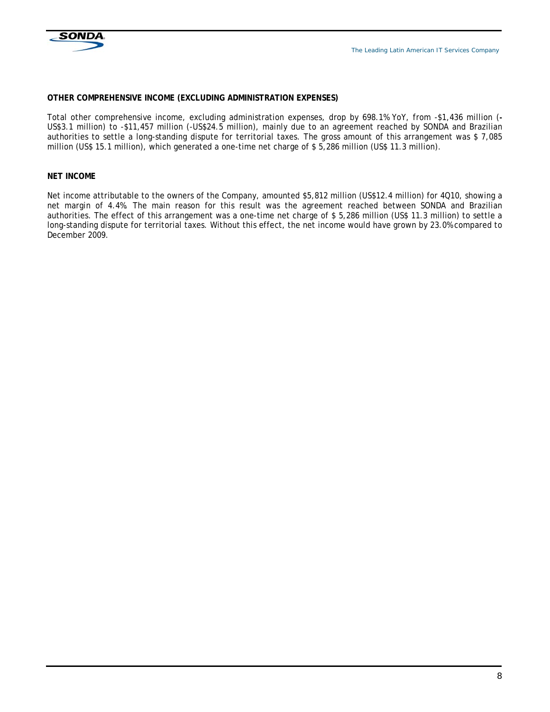

#### **OTHER COMPREHENSIVE INCOME (EXCLUDING ADMINISTRATION EXPENSES)**

Total other comprehensive income, excluding administration expenses, drop by 698.1% YoY, from -\$1,436 million (**-** US\$3.1 million) to -\$11,457 million (-US\$24.5 million), mainly due to an agreement reached by SONDA and Brazilian authorities to settle a long-standing dispute for territorial taxes. The gross amount of this arrangement was \$ 7,085 million (US\$ 15.1 million), which generated a one-time net charge of \$ 5,286 million (US\$ 11.3 million).

#### **NET INCOME**

Net income attributable to the owners of the Company, amounted \$5,812 million (US\$12.4 million) for 4Q10, showing a net margin of 4.4%. The main reason for this result was the agreement reached between SONDA and Brazilian authorities. The effect of this arrangement was a one-time net charge of \$ 5,286 million (US\$ 11.3 million) to settle a long-standing dispute for territorial taxes. Without this effect, the net income would have grown by 23.0% compared to December 2009.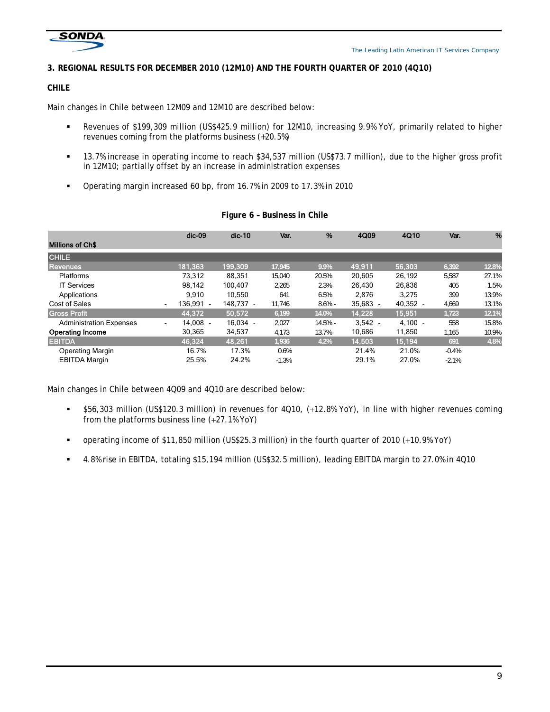

## **3. REGIONAL RESULTS FOR DECEMBER 2010 (12M10) AND THE FOURTH QUARTER OF 2010 (4Q10)**

## **CHILE**

Main changes in Chile between 12M09 and 12M10 are described below:

- Revenues of \$199,309 million (US\$425.9 million) for 12M10, increasing 9.9% YoY, primarily related to higher revenues coming from the platforms business (+20.5%)
- 13.7% increase in operating income to reach \$34,537 million (US\$73.7 million), due to the higher gross profit in 12M10; partially offset by an increase in administration expenses
- Operating margin increased 60 bp, from 16.7% in 2009 to 17.3% in 2010

|                                | $dic-09$                    | $dic-10$   | Var.    | %         | 4Q09       | 4Q10       | Var.    | %     |
|--------------------------------|-----------------------------|------------|---------|-----------|------------|------------|---------|-------|
| <b>Millions of Ch\$</b>        |                             |            |         |           |            |            |         |       |
| <b>CHILE</b>                   |                             |            |         |           |            |            |         |       |
| <b>Revenues</b>                | 181,363                     | 199.309    | 17,945  | 9.9%      | 49,911     | 56,303     | 6,392   | 12.8% |
| Platforms                      | 73.312                      | 88,351     | 15.040  | 20.5%     | 20,605     | 26,192     | 5,587   | 27.1% |
| <b>IT Services</b>             | 98.142                      | 100.407    | 2,265   | 2.3%      | 26.430     | 26,836     | 405     | 1.5%  |
| Applications                   | 9.910                       | 10.550     | 641     | 6.5%      | 2,876      | 3,275      | 399     | 13.9% |
| Cost of Sales                  | 136.991 -<br>$\blacksquare$ | 148.737 -  | 11.746  | $8.6\%$ - | $35.683 -$ | $40.352 -$ | 4.669   | 13.1% |
| <b>Gross Profit</b>            | 44.372                      | 50,572     | 6,199   | 14.0%     | 14,228     | 15,951     | 1,723   | 12.1% |
| <b>Administration Expenses</b> | 14.008 -<br>$\sim$          | $16.034 -$ | 2.027   | $14.5% -$ | $3,542 -$  | $4,100 -$  | 558     | 15.8% |
| <b>Operating Income</b>        | 30.365                      | 34,537     | 4,173   | 13.7%     | 10.686     | 11,850     | 1,165   | 10.9% |
| <b>EBITDA</b>                  | 46,324                      | 48,261     | 1,936   | 4.2%      | 14,503     | 15,194     | 691     | 4.8%  |
| <b>Operating Margin</b>        | 16.7%                       | 17.3%      | 0.6%    |           | 21.4%      | 21.0%      | $-0.4%$ |       |
| <b>EBITDA Margin</b>           | 25.5%                       | 24.2%      | $-1.3%$ |           | 29.1%      | 27.0%      | $-2.1%$ |       |

#### **Figure 6 – Business in Chile**

Main changes in Chile between 4Q09 and 4Q10 are described below:

- \$56,303 million (US\$120.3 million) in revenues for 4Q10, (12.8% YoY), in line with higher revenues coming from the platforms business line  $(+27.1\%$  YoY)
- operating income of \$11,850 million (US\$25.3 million) in the fourth quarter of 2010 (+10.9% YoY)
- 4.8% rise in EBITDA, totaling \$15,194 million (US\$32.5 million), leading EBITDA margin to 27.0% in 4Q10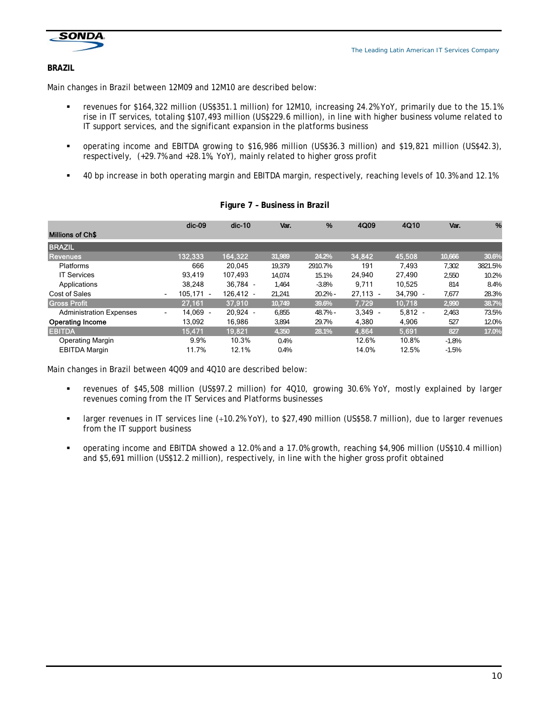

#### **BRAZIL**

Main changes in Brazil between 12M09 and 12M10 are described below:

- revenues for \$164,322 million (US\$351.1 million) for 12M10, increasing 24.2% YoY, primarily due to the 15.1% rise in IT services, totaling \$107,493 million (US\$229.6 million), in line with higher business volume related to IT support services, and the significant expansion in the platforms business
- operating income and EBITDA growing to \$16,986 million (US\$36.3 million) and \$19,821 million (US\$42.3), respectively, (+29.7% and +28.1%, YoY), mainly related to higher gross profit
- 40 bp increase in both operating margin and EBITDA margin, respectively, reaching levels of 10.3% and 12.1%

|                                | $dic-09$                             | $dic-10$    | Var.   | %         | 4Q09       | 4Q10       | Var.    | %       |
|--------------------------------|--------------------------------------|-------------|--------|-----------|------------|------------|---------|---------|
| <b>Millions of Ch\$</b>        |                                      |             |        |           |            |            |         |         |
| <b>BRAZIL</b>                  |                                      |             |        |           |            |            |         |         |
| Revenues                       | 132.333                              | 164.322     | 31.989 | 24.2%     | 34,842     | 45,508     | 10.666  | 30.6%   |
| Platforms                      | 666                                  | 20.045      | 19.379 | 2910.7%   | 191        | 7,493      | 7.302   | 3821.5% |
| <b>IT Services</b>             | 93.419                               | 107.493     | 14.074 | 15.1%     | 24.940     | 27.490     | 2.550   | 10.2%   |
| Applications                   | 38.248                               | 36.784 -    | 1.464  | $-3.8%$   | 9.711      | 10,525     | 814     | 8.4%    |
| Cost of Sales                  | 105.171 -<br>$\blacksquare$          | $126.412 -$ | 21.241 | $20.2% -$ | $27.113 -$ | $34.790 -$ | 7.677   | 28.3%   |
| <b>Gross Profit</b>            | 27,161                               | 37,910      | 10,749 | 39.6%     | 7,729      | 10,718     | 2,990   | 38.7%   |
| <b>Administration Expenses</b> | 14.069 -<br>$\overline{\phantom{a}}$ | $20.924 -$  | 6.855  | $48.7%$ - | $3.349 -$  | $5.812 -$  | 2.463   | 73.5%   |
| <b>Operating Income</b>        | 13,092                               | 16,986      | 3,894  | 29.7%     | 4,380      | 4,906      | 527     | 12.0%   |
| <b>EBITDA</b>                  | 15,471                               | 19,821      | 4,350  | 28.1%     | 4,864      | 5,691      | 827     | 17.0%   |
| <b>Operating Margin</b>        | 9.9%                                 | 10.3%       | 0.4%   |           | 12.6%      | 10.8%      | $-1.8%$ |         |
| <b>EBITDA Margin</b>           | 11.7%                                | 12.1%       | 0.4%   |           | 14.0%      | 12.5%      | $-1.5%$ |         |

#### **Figure 7 – Business in Brazil**

Main changes in Brazil between 4Q09 and 4Q10 are described below:

- revenues of \$45,508 million (US\$97.2 million) for 4Q10, growing 30.6% YoY, mostly explained by larger revenues coming from the IT Services and Platforms businesses
- larger revenues in IT services line (10.2% YoY), to \$27,490 million (US\$58.7 million), due to larger revenues from the IT support business
- operating income and EBITDA showed a 12.0% and a 17.0% growth, reaching \$4,906 million (US\$10.4 million) and \$5,691 million (US\$12.2 million), respectively, in line with the higher gross profit obtained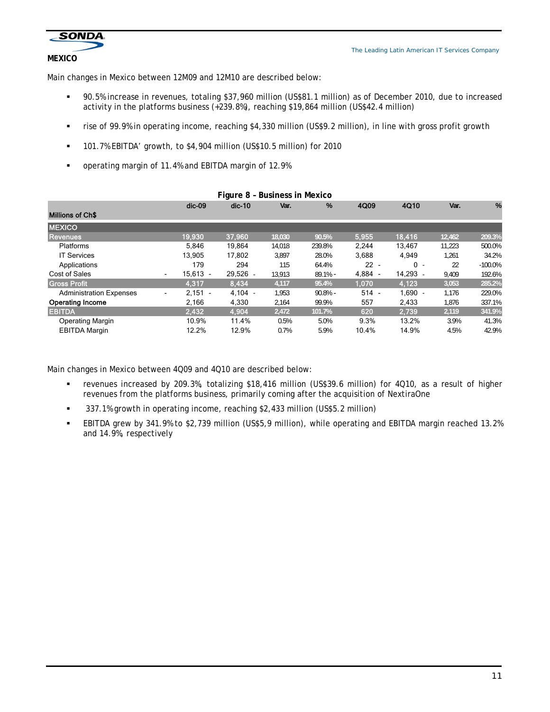

## **MEXICO**

Main changes in Mexico between 12M09 and 12M10 are described below:

- 90.5% increase in revenues, totaling \$37,960 million (US\$81.1 million) as of December 2010, due to increased activity in the platforms business (+239.8%), reaching \$19,864 million (US\$42.4 million)
- rise of 99.9% in operating income, reaching \$4,330 million (US\$9.2 million), in line with gross profit growth
- 101.7% EBITDA' growth, to \$4,904 million (US\$10.5 million) for 2010
- operating margin of 11.4% and EBITDA margin of 12.9%

| Figure 8 - Business in Mexico  |                                       |            |        |            |         |           |        |            |
|--------------------------------|---------------------------------------|------------|--------|------------|---------|-----------|--------|------------|
|                                | $dic-09$                              | $dic-10$   | Var.   | %          | 4Q09    | 4Q10      | Var.   | %          |
| <b>Millions of Ch\$</b>        |                                       |            |        |            |         |           |        |            |
| <b>MEXICO</b>                  |                                       |            |        |            |         |           |        |            |
| Revenues                       | 19,930                                | 37,960     | 18,030 | 90.5%      | 5,955   | 18,416    | 12,462 | 209.3%     |
| <b>Platforms</b>               | 5.846                                 | 19,864     | 14.018 | 239.8%     | 2.244   | 13.467    | 11.223 | 500.0%     |
| <b>IT Services</b>             | 13.905                                | 17.802     | 3.897  | 28.0%      | 3,688   | 4,949     | 1,261  | 34.2%      |
| Applications                   | 179                                   | 294        | 115    | 64.4%      | $22 -$  | $0 -$     | 22     | $-100.0\%$ |
| Cost of Sales                  | $15.613 -$<br>$\blacksquare$          | $29.526 -$ | 13.913 | $89.1%$ -  | 4,884 - | 14.293 -  | 9,409  | 192.6%     |
| <b>Gross Profit</b>            | 4.317                                 | 8.434      | 4,117  | 95.4%      | 1,070   | 4,123     | 3,053  | 285.2%     |
| <b>Administration Expenses</b> | $2.151 -$<br>$\overline{\phantom{a}}$ | $4.104 -$  | 1.953  | $90.8\%$ - | $514 -$ | $1.690 -$ | 1.176  | 229.0%     |
| <b>Operating Income</b>        | 2,166                                 | 4,330      | 2,164  | 99.9%      | 557     | 2,433     | 1,876  | 337.1%     |
| <b>EBITDA</b>                  | 2,432                                 | 4,904      | 2,472  | 101.7%     | 620     | 2,739     | 2,119  | 341.9%     |
| <b>Operating Margin</b>        | 10.9%                                 | 11.4%      | 0.5%   | 5.0%       | 9.3%    | 13.2%     | 3.9%   | 41.3%      |
| <b>EBITDA Margin</b>           | 12.2%                                 | 12.9%      | 0.7%   | 5.9%       | 10.4%   | 14.9%     | 4.5%   | 42.9%      |

Main changes in Mexico between 4Q09 and 4Q10 are described below:

- revenues increased by 209.3%, totalizing \$18,416 million (US\$39.6 million) for 4Q10, as a result of higher revenues from the platforms business, primarily coming after the acquisition of NextiraOne
- 337.1% growth in operating income, reaching \$2,433 million (US\$5.2 million)
- EBITDA grew by 341.9% to \$2,739 million (US\$5,9 million), while operating and EBITDA margin reached 13.2% and 14.9%, respectively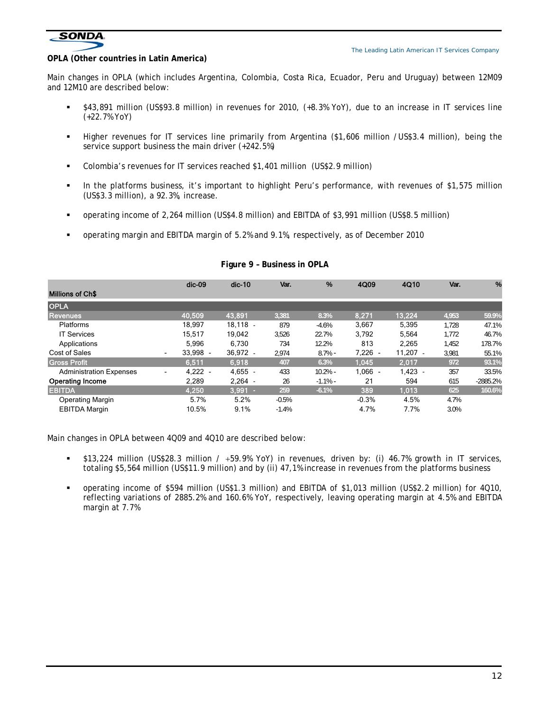

#### **OPLA (Other countries in Latin America)**

Main changes in OPLA (which includes Argentina, Colombia, Costa Rica, Ecuador, Peru and Uruguay) between 12M09 and 12M10 are described below:

- \$43,891 million (US\$93.8 million) in revenues for 2010, (+8.3% YoY), due to an increase in IT services line (+22.7% YoY)
- Higher revenues for IT services line primarily from Argentina (\$1,606 million /US\$3.4 million), being the service support business the main driver (+242.5%)
- Colombia's revenues for IT services reached \$1,401 million (US\$2.9 million)
- In the platforms business, it's important to highlight Peru's performance, with revenues of \$1,575 million (US\$3.3 million), a 92.3%, increase.
- operating income of 2,264 million (US\$4.8 million) and EBITDA of \$3,991 million (US\$8.5 million)
- operating margin and EBITDA margin of 5.2% and 9.1%, respectively, as of December 2010

|                                | $dic-09$                     | $dic-10$    | Var.    | %           | 4Q09      | 4Q10       | Var.  | %          |
|--------------------------------|------------------------------|-------------|---------|-------------|-----------|------------|-------|------------|
| <b>Millions of Ch\$</b>        |                              |             |         |             |           |            |       |            |
| <b>OPLA</b>                    |                              |             |         |             |           |            |       |            |
| <b>Revenues</b>                | 40,509                       | 43.891      | 3.381   | 8.3%        | 8,271     | 13,224     | 4,953 | 59.9%      |
| Platforms                      | 18,997                       | $18.118 -$  | 879     | $-4.6%$     | 3,667     | 5,395      | 1.728 | 47.1%      |
| <b>IT Services</b>             | 15.517                       | 19.042      | 3,526   | 22.7%       | 3.792     | 5.564      | 1.772 | 46.7%      |
| Applications                   | 5.996                        | 6.730       | 734     | 12.2%       | 813       | 2,265      | 1.452 | 178.7%     |
| Cost of Sales                  | $33.998 -$<br>$\blacksquare$ | $36.972 -$  | 2,974   | $8.7\%$ -   | $7,226 -$ | $11.207 -$ | 3,981 | 55.1%      |
| <b>Gross Profit</b>            | 6.511                        | 6.918       | 407     | 6.3%        | 1.045     | 2.017      | 972   | 93.1%      |
| <b>Administration Expenses</b> | $4,222 -$<br>$\blacksquare$  | 4,655       | 433     | $10.2% -$   | $1,066 -$ | $1.423 -$  | 357   | 33.5%      |
| <b>Operating Income</b>        | 2,289                        | $2.264 -$   | 26      | $-1.1%$ $-$ | 21        | 594        | 615   | $-2885.2%$ |
| <b>EBITDA</b>                  | 4,250                        | $3,991$ $-$ | 259     | $-6.1%$     | 389       | 1,013      | 625   | 160.6%     |
| <b>Operating Margin</b>        | 5.7%                         | 5.2%        | $-0.5%$ |             | $-0.3%$   | 4.5%       | 4.7%  |            |
| <b>EBITDA Margin</b>           | 10.5%                        | 9.1%        | $-1.4%$ |             | 4.7%      | 7.7%       | 3.0%  |            |

#### **Figure 9 – Business in OPLA**

Main changes in OPLA between 4Q09 and 4Q10 are described below:

- $\bullet$  \$13,224 million (US\$28.3 million / +59.9% YoY) in revenues, driven by: (i) 46.7% growth in IT services, totaling \$5,564 million (US\$11.9 million) and by (ii) 47,1% increase in revenues from the platforms business
- operating income of \$594 million (US\$1.3 million) and EBITDA of \$1,013 million (US\$2.2 million) for 4Q10, reflecting variations of 2885.2% and 160.6% YoY, respectively, leaving operating margin at 4.5% and EBITDA margin at 7.7%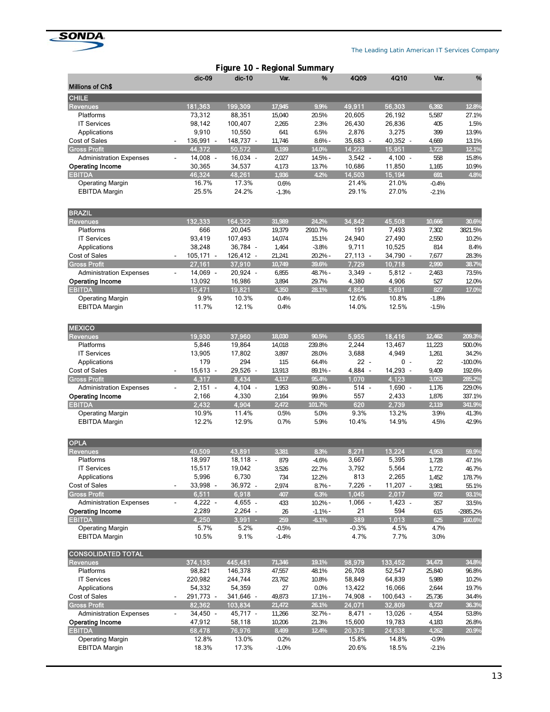

|                                 |                              | Figure 10 - Regional Summary       |         |            |            |             |         |           |
|---------------------------------|------------------------------|------------------------------------|---------|------------|------------|-------------|---------|-----------|
|                                 | dic-09                       | $dic-10$                           | Var.    | %          | 4Q09       | 4Q10        | Var.    | %         |
| <b>Millions of Ch\$</b>         |                              |                                    |         |            |            |             |         |           |
| <b>CHILE</b><br><b>Revenues</b> | 181,363                      | 199,309                            | 17,945  | 9.9%       | 49,911     | 56,303      | 6,392   | 12.8%     |
| Platforms                       | 73,312                       | 88,351                             | 15,040  | 20.5%      | 20,605     | 26,192      | 5,587   | 27.1%     |
| <b>IT Services</b>              | 98,142                       | 100,407                            | 2,265   | 2.3%       | 26,430     | 26,836      | 405     | 1.5%      |
| Applications                    | 9,910                        | 10,550                             | 641     | 6.5%       | 2,876      | 3,275       | 399     | 13.9%     |
| <b>Cost of Sales</b>            | 136,991 -                    | 148,737 -                          | 11,746  | $8.6%$ -   | 35,683 -   | 40,352 -    | 4,669   | 13.1%     |
| <b>Gross Profit</b>             | 44,372                       | 50,572                             | 6,199   | 14.0%      | 14,228     | 15,951      | 1,723   | 12.1%     |
| <b>Administration Expenses</b>  | $14,008 -$<br>$\blacksquare$ | $16,034 -$                         | 2,027   | $14.5% -$  | $3,542 -$  | $4,100 -$   | 558     | 15.8%     |
| <b>Operating Income</b>         | 30,365                       | 34,537                             | 4,173   | 13.7%      | 10,686     | 11,850      | 1,165   | 10.9%     |
| <b>EBITDA</b>                   | 46,324                       | 48,261                             | 1,936   | 4.2%       | 14,503     | 15,194      | 691     | 4.8%      |
| <b>Operating Margin</b>         | 16.7%                        | 17.3%                              | 0.6%    |            | 21.4%      | 21.0%       | $-0.4%$ |           |
| <b>EBITDA Margin</b>            | 25.5%                        | 24.2%                              | $-1.3%$ |            | 29.1%      | 27.0%       | $-2.1%$ |           |
|                                 |                              |                                    |         |            |            |             |         |           |
| <b>BRAZIL</b>                   |                              |                                    |         |            |            |             |         |           |
| <b>Revenues</b>                 | 132,333                      | 164,322                            | 31,989  | 24.2%      | 34,842     | 45,508      | 10,666  | 30.6%     |
| Platforms                       | 666                          | 20,045                             | 19,379  | 2910.7%    | 191        | 7,493       | 7,302   | 3821.5%   |
| <b>IT Services</b>              | 93,419                       | 107,493                            | 14,074  | 15.1%      | 24,940     | 27,490      | 2,550   | 10.2%     |
| Applications                    | 38,248                       | 36,784 -                           | 1,464   | $-3.8%$    | 9,711      | 10,525      | 814     | 8.4%      |
| <b>Cost of Sales</b>            | $105,171 -$                  | $126,412 -$                        | 21,241  | $20.2% -$  | $27,113 -$ | 34,790 -    | 7,677   | 28.3%     |
| <b>Gross Profit</b>             | 27,161                       | 37,910                             | 10,749  | 39.6%      | 7,729      | 10,718      | 2,990   | 38.7%     |
| <b>Administration Expenses</b>  | 14,069 -<br>$\blacksquare$   | $20,924 -$                         | 6,855   | 48.7% -    | $3,349 -$  | $5,812 -$   | 2,463   | 73.5%     |
| <b>Operating Income</b>         | 13,092                       | 16,986                             | 3,894   | 29.7%      | 4,380      | 4,906       | 527     | 12.0%     |
| <b>EBITDA</b>                   | 15,471                       | 19,821                             | 4,350   | 28.1%      | 4,864      | 5,691       | 827     | 17.0%     |
| <b>Operating Margin</b>         | 9.9%                         | 10.3%                              | 0.4%    |            | 12.6%      | 10.8%       | $-1.8%$ |           |
| <b>EBITDA Margin</b>            | 11.7%                        | 12.1%                              | 0.4%    |            | 14.0%      | 12.5%       | $-1.5%$ |           |
| <b>MEXICO</b>                   |                              |                                    |         |            |            |             |         |           |
| <b>Revenues</b>                 | 19,930                       | 37,960                             | 18,030  | 90.5%      | 5,955      | 18,416      | 12,462  | 209.3%    |
| Platforms                       | 5,846                        | 19,864                             | 14,018  | 239.8%     | 2,244      | 13,467      | 11,223  | 500.0%    |
| <b>IT Services</b>              | 13,905                       | 17,802                             | 3,897   | 28.0%      | 3,688      | 4,949       | 1,261   | 34.2%     |
| Applications                    | 179                          | 294                                | 115     | 64.4%      | $22 -$     | $0 -$       | 22      | $-100.0%$ |
| Cost of Sales                   | 15,613 -                     | 29,526<br>$\overline{\phantom{a}}$ | 13,913  | 89.1% -    | 4,884 -    | 14,293 -    | 9,409   | 192.6%    |
| <b>Gross Profit</b>             | 4,317                        | 8,434                              | 4,117   | 95.4%      | 1,070      | 4,123       | 3,053   | 285.2%    |
| <b>Administration Expenses</b>  | $2,151 -$<br>$\blacksquare$  | $4,104 -$                          | 1,953   | $90.8\%$ - | 514 -      | $1,690 -$   | 1,176   | 229.0%    |
| <b>Operating Income</b>         | 2,166                        | 4,330                              | 2,164   | 99.9%      | 557        | 2,433       | 1,876   | 337.1%    |
| <b>EBITDA</b>                   | 2,432                        | 4,904                              | 2,472   | 101.7%     | 620        | 2,739       | 2,119   | 341.9%    |
| <b>Operating Margin</b>         | 10.9%                        | 11.4%                              | 0.5%    | 5.0%       | 9.3%       | 13.2%       | 3.9%    | 41.3%     |
| <b>EBITDA Margin</b>            | 12.2%                        | 12.9%                              | 0.7%    | 5.9%       | 10.4%      | 14.9%       | 4.5%    | 42.9%     |
| <b>OPLA</b>                     |                              |                                    |         |            |            |             |         |           |
| <b>Revenues</b>                 | 40,509                       | 43,891                             | 3,381   | 8.3%       | 8,271      | 13,224      | 4,953   | 59.9%     |
| Platforms                       | 18,997                       | $18,118 -$                         | 879     | $-4.6%$    | 3,667      | 5,395       | 1,728   | 47.1%     |
| <b>IT Services</b>              | 15,517                       | 19,042                             | 3,526   | 22.7%      | 3,792      | 5,564       | 1,772   | 46.7%     |
| Applications                    | 5,996                        | 6,730                              | 734     | 12.2%      | 813        | 2,265       | 1,452   | 178.7%    |
| Cost of Sales                   | 33,998 -                     | 36,972 -                           | 2,974   | $8.7%$ -   | 7,226 -    | $11,207$ .  | 3,981   | 55.1%     |
| <b>Gross Profit</b>             | 6,511                        | 6,918                              | 407     | 6.3%       | 1,045      | 2,017       | 972     | 93.1%     |
| <b>Administration Expenses</b>  | $4,222 -$                    | 4,655 -                            | 433     | $10.2% -$  | $1,066 -$  | $1,423 -$   | 357     | 33.5%     |
| <b>Operating Income</b>         | 2,289                        | $2,264$ .                          | 26      | $-1.1%$ -  | 21         | 594         | 615     | -2885.2%  |
| <b>EBITDA</b>                   | 4,250                        | $3,991$ .                          | 259     | $-6.1%$    | 389        | 1,013       | 625     | 160.6%    |
| <b>Operating Margin</b>         | 5.7%                         | 5.2%                               | $-0.5%$ |            | $-0.3%$    | 4.5%        | 4.7%    |           |
| <b>EBITDA Margin</b>            | 10.5%                        | 9.1%                               | $-1.4%$ |            | 4.7%       | 7.7%        | 3.0%    |           |
| <b>CONSOLIDATED TOTAL</b>       |                              |                                    |         |            |            |             |         |           |
| <b>Revenues</b>                 | 374,135                      | 445,481                            | 71,346  | 19.1%      | 98,979     | 133,452     | 34,473  | 34.8%     |
| Platforms                       | 98,821                       | 146,378                            | 47,557  | 48.1%      | 26,708     | 52,547      | 25,840  | 96.8%     |
| <b>IT Services</b>              | 220,982                      | 244,744                            | 23,762  | 10.8%      | 58,849     | 64,839      | 5,989   | 10.2%     |
| Applications                    | 54,332                       | 54,359                             | 27      | 0.0%       | 13,422     | 16,066      | 2,644   | 19.7%     |
| <b>Cost of Sales</b>            | 291,773 -                    | 341,646 -                          | 49,873  | $17.1%$ -  | 74,908 -   | $100,643 -$ | 25,736  | 34.4%     |
| <b>Gross Profit</b>             | 82,362                       | 103,834                            | 21,472  | 26.1%      | 24,071     | 32,809      | 8,737   | 36.3%     |
| <b>Administration Expenses</b>  | 34,450 -                     | 45,717 -                           | 11,266  | $32.7% -$  | $8,471 -$  | $13,026$ -  | 4,554   | 53.8%     |
| <b>Operating Income</b>         | 47,912                       | 58,118                             | 10,206  | 21.3%      | 15,600     | 19,783      | 4,183   | 26.8%     |
| <b>EBITDA</b>                   | 68,478                       | 76,976                             | 8,499   | 12.4%      | 20,375     | 24,638      | 4,262   | 20.9%     |
| <b>Operating Margin</b>         | 12.8%                        | 13.0%                              | 0.2%    |            | 15.8%      | 14.8%       | $-0.9%$ |           |
| <b>EBITDA Margin</b>            | 18.3%                        | 17.3%                              | $-1.0%$ |            | 20.6%      | 18.5%       | $-2.1%$ |           |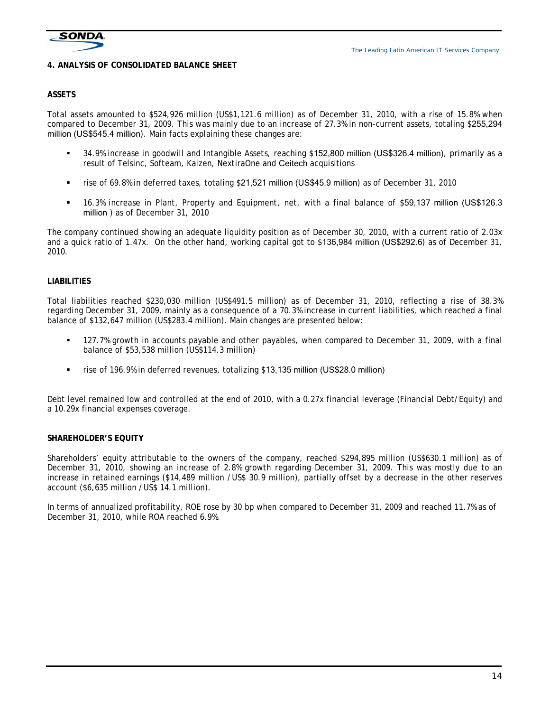

## **4. ANALYSIS OF CONSOLIDATED BALANCE SHEET**

#### **ASSETS**

Total assets amounted to \$524,926 million (US\$1,121.6 million) as of December 31, 2010, with a rise of 15.8% when compared to December 31, 2009. This was mainly due to an increase of 27.3% in non-current assets, totaling \$255,294 million (US\$545.4 million). Main facts explaining these changes are:

- 34.9% increase in goodwill and Intangible Assets, reaching \$152,800 million (US\$326.4 million), primarily as a result of Telsinc, Softeam, Kaizen, NextiraOne and Ceitech acquisitions
- rise of 69.8% in deferred taxes, totaling \$21,521 million (US\$45.9 million) as of December 31, 2010
- 16.3% increase in Plant, Property and Equipment, net, with a final balance of \$59,137 million (US\$126.3 million ) as of December 31, 2010

The company continued showing an adequate liquidity position as of December 30, 2010, with a current ratio of 2.03x and a quick ratio of 1.47x. On the other hand, working capital got to \$136,984 million (US\$292.6) as of December 31, 2010.

## **LIABILITIES**

Total liabilities reached \$230,030 million (US\$491.5 million) as of December 31, 2010, reflecting a rise of 38.3% regarding December 31, 2009, mainly as a consequence of a 70.3% increase in current liabilities, which reached a final balance of \$132,647 million (US\$283.4 million). Main changes are presented below:

- 127.7% growth in accounts payable and other payables, when compared to December 31, 2009, with a final balance of \$53,538 million (US\$114.3 million)
- rise of 196.9% in deferred revenues, totalizing \$13,135 million (US\$28.0 million)

Debt level remained low and controlled at the end of 2010, with a 0.27x financial leverage (Financial Debt/Equity) and a 10.29x financial expenses coverage.

#### **SHAREHOLDER'S EQUITY**

Shareholders' equity attributable to the owners of the company, reached \$294,895 million (US\$630.1 million) as of December 31, 2010, showing an increase of 2.8% growth regarding December 31, 2009. This was mostly due to an increase in retained earnings (\$14,489 million /US\$ 30.9 million), partially offset by a decrease in the other reserves account (\$6,635 million /US\$ 14.1 million).

In terms of annualized profitability, ROE rose by 30 bp when compared to December 31, 2009 and reached 11.7% as of December 31, 2010, while ROA reached 6.9%.